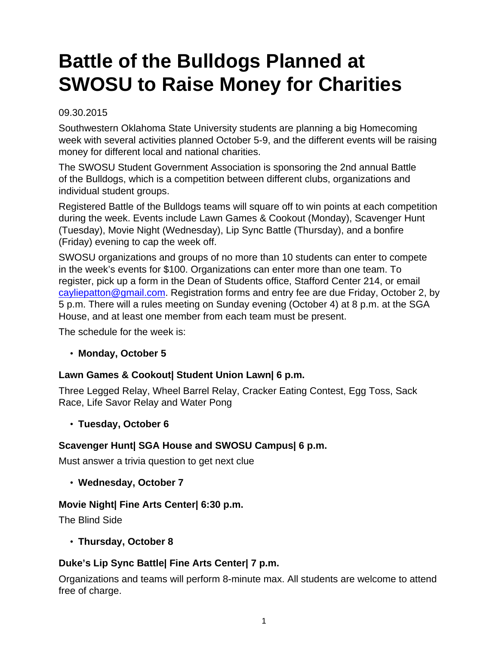# **Battle of the Bulldogs Planned at SWOSU to Raise Money for Charities**

### 09.30.2015

Southwestern Oklahoma State University students are planning a big Homecoming week with several activities planned October 5-9, and the different events will be raising money for different local and national charities.

The SWOSU Student Government Association is sponsoring the 2nd annual Battle of the Bulldogs, which is a competition between different clubs, organizations and individual student groups.

Registered Battle of the Bulldogs teams will square off to win points at each competition during the week. Events include Lawn Games & Cookout (Monday), Scavenger Hunt (Tuesday), Movie Night (Wednesday), Lip Sync Battle (Thursday), and a bonfire (Friday) evening to cap the week off.

SWOSU organizations and groups of no more than 10 students can enter to compete in the week's events for \$100. Organizations can enter more than one team. To register, pick up a form in the Dean of Students office, Stafford Center 214, or email [cayliepatton@gmail.com.](mailto:cayliepatton@gmail.com) Registration forms and entry fee are due Friday, October 2, by 5 p.m. There will a rules meeting on Sunday evening (October 4) at 8 p.m. at the SGA House, and at least one member from each team must be present.

The schedule for the week is:

# • **Monday, October 5**

# **Lawn Games & Cookout| Student Union Lawn| 6 p.m.**

Three Legged Relay, Wheel Barrel Relay, Cracker Eating Contest, Egg Toss, Sack Race, Life Savor Relay and Water Pong

#### • **Tuesday, October 6**

# **Scavenger Hunt| SGA House and SWOSU Campus| 6 p.m.**

Must answer a trivia question to get next clue

• **Wednesday, October 7**

#### **Movie Night| Fine Arts Center| 6:30 p.m.**

The Blind Side

• **Thursday, October 8**

# **Duke's Lip Sync Battle| Fine Arts Center| 7 p.m.**

Organizations and teams will perform 8-minute max. All students are welcome to attend free of charge.